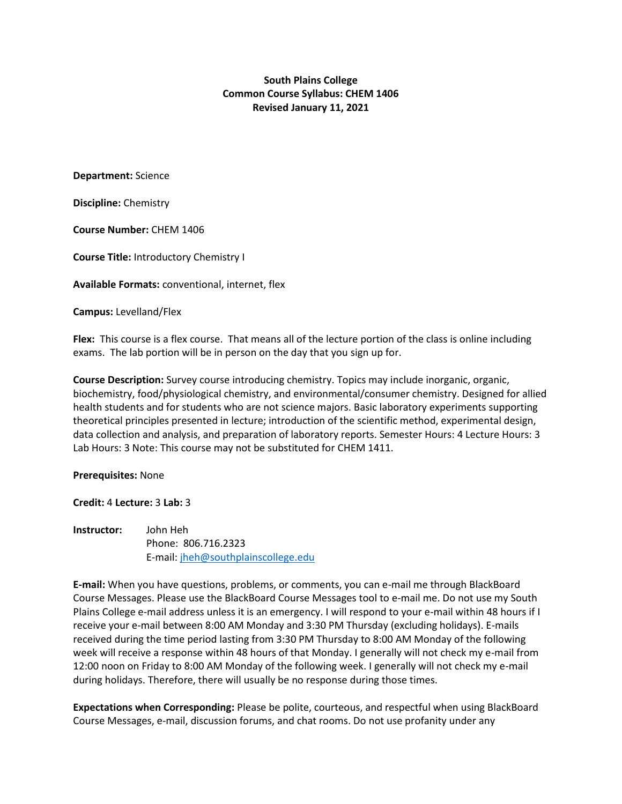**South Plains College Common Course Syllabus: CHEM 1406 Revised January 11, 2021**

**Department:** Science

**Discipline:** Chemistry

**Course Number:** CHEM 1406

**Course Title:** Introductory Chemistry I

**Available Formats:** conventional, internet, flex

**Campus:** Levelland/Flex

**Flex:** This course is a flex course. That means all of the lecture portion of the class is online including exams. The lab portion will be in person on the day that you sign up for.

**Course Description:** Survey course introducing chemistry. Topics may include inorganic, organic, biochemistry, food/physiological chemistry, and environmental/consumer chemistry. Designed for allied health students and for students who are not science majors. Basic laboratory experiments supporting theoretical principles presented in lecture; introduction of the scientific method, experimental design, data collection and analysis, and preparation of laboratory reports. Semester Hours: 4 Lecture Hours: 3 Lab Hours: 3 Note: This course may not be substituted for CHEM 1411.

**Prerequisites:** None

**Credit:** 4 **Lecture:** 3 **Lab:** 3

**Instructor:** John Heh Phone: 806.716.2323 E-mail: [jheh@southplainscollege.edu](about:blank)

**E-mail:** When you have questions, problems, or comments, you can e-mail me through BlackBoard Course Messages. Please use the BlackBoard Course Messages tool to e-mail me. Do not use my South Plains College e-mail address unless it is an emergency. I will respond to your e-mail within 48 hours if I receive your e-mail between 8:00 AM Monday and 3:30 PM Thursday (excluding holidays). E-mails received during the time period lasting from 3:30 PM Thursday to 8:00 AM Monday of the following week will receive a response within 48 hours of that Monday. I generally will not check my e-mail from 12:00 noon on Friday to 8:00 AM Monday of the following week. I generally will not check my e-mail during holidays. Therefore, there will usually be no response during those times.

**Expectations when Corresponding:** Please be polite, courteous, and respectful when using BlackBoard Course Messages, e-mail, discussion forums, and chat rooms. Do not use profanity under any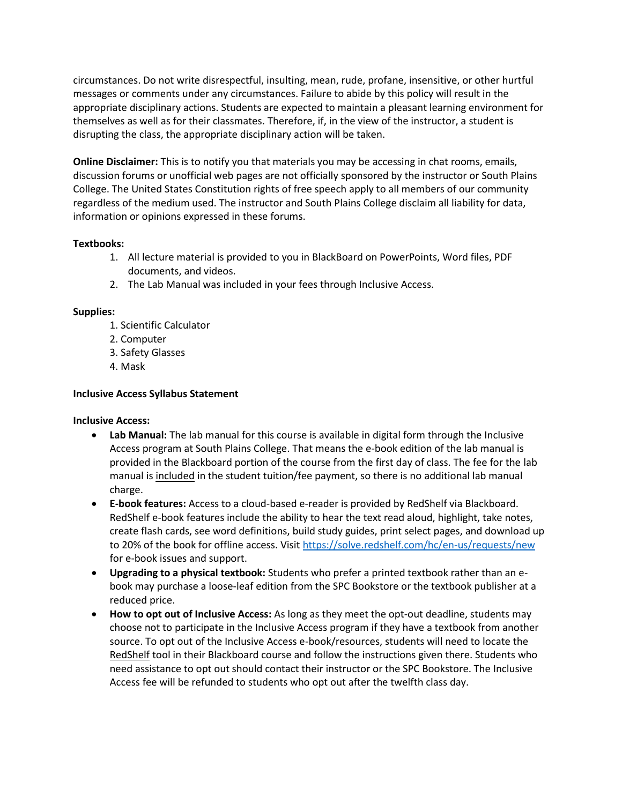circumstances. Do not write disrespectful, insulting, mean, rude, profane, insensitive, or other hurtful messages or comments under any circumstances. Failure to abide by this policy will result in the appropriate disciplinary actions. Students are expected to maintain a pleasant learning environment for themselves as well as for their classmates. Therefore, if, in the view of the instructor, a student is disrupting the class, the appropriate disciplinary action will be taken.

**Online Disclaimer:** This is to notify you that materials you may be accessing in chat rooms, emails, discussion forums or unofficial web pages are not officially sponsored by the instructor or South Plains College. The United States Constitution rights of free speech apply to all members of our community regardless of the medium used. The instructor and South Plains College disclaim all liability for data, information or opinions expressed in these forums.

### **Textbooks:**

- 1. All lecture material is provided to you in BlackBoard on PowerPoints, Word files, PDF documents, and videos.
- 2. The Lab Manual was included in your fees through Inclusive Access.

## **Supplies:**

- 1. Scientific Calculator
- 2. Computer
- 3. Safety Glasses
- 4. Mask

## **Inclusive Access Syllabus Statement**

### **Inclusive Access:**

- **Lab Manual:** The lab manual for this course is available in digital form through the Inclusive Access program at South Plains College. That means the e-book edition of the lab manual is provided in the Blackboard portion of the course from the first day of class. The fee for the lab manual is included in the student tuition/fee payment, so there is no additional lab manual charge.
- **E-book features:** Access to a cloud-based e-reader is provided by RedShelf via Blackboard. RedShelf e-book features include the ability to hear the text read aloud, highlight, take notes, create flash cards, see word definitions, build study guides, print select pages, and download up to 20% of the book for offline access. Visit [https://solve.redshelf.com/hc/en-us/requests/new](about:blank) for e-book issues and support.
- **Upgrading to a physical textbook:** Students who prefer a printed textbook rather than an ebook may purchase a loose-leaf edition from the SPC Bookstore or the textbook publisher at a reduced price.
- **How to opt out of Inclusive Access:** As long as they meet the opt-out deadline, students may choose not to participate in the Inclusive Access program if they have a textbook from another source. To opt out of the Inclusive Access e-book/resources, students will need to locate the RedShelf tool in their Blackboard course and follow the instructions given there. Students who need assistance to opt out should contact their instructor or the SPC Bookstore. The Inclusive Access fee will be refunded to students who opt out after the twelfth class day.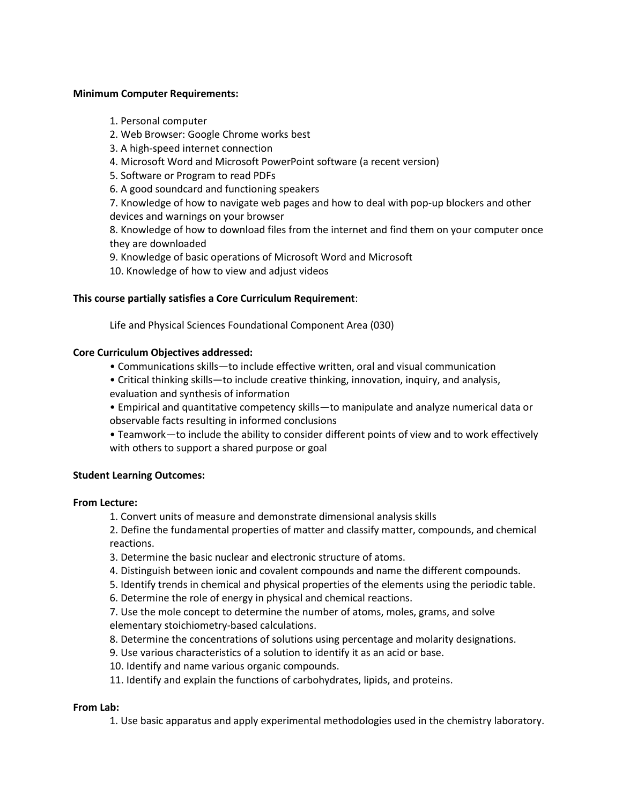#### **Minimum Computer Requirements:**

- 1. Personal computer
- 2. Web Browser: Google Chrome works best
- 3. A high-speed internet connection
- 4. Microsoft Word and Microsoft PowerPoint software (a recent version)
- 5. Software or Program to read PDFs
- 6. A good soundcard and functioning speakers

7. Knowledge of how to navigate web pages and how to deal with pop-up blockers and other devices and warnings on your browser

8. Knowledge of how to download files from the internet and find them on your computer once they are downloaded

- 9. Knowledge of basic operations of Microsoft Word and Microsoft
- 10. Knowledge of how to view and adjust videos

### **This course partially satisfies a Core Curriculum Requirement**:

Life and Physical Sciences Foundational Component Area (030)

#### **Core Curriculum Objectives addressed:**

- Communications skills—to include effective written, oral and visual communication
- Critical thinking skills—to include creative thinking, innovation, inquiry, and analysis, evaluation and synthesis of information
- Empirical and quantitative competency skills—to manipulate and analyze numerical data or observable facts resulting in informed conclusions
- Teamwork—to include the ability to consider different points of view and to work effectively with others to support a shared purpose or goal

### **Student Learning Outcomes:**

#### **From Lecture:**

1. Convert units of measure and demonstrate dimensional analysis skills

2. Define the fundamental properties of matter and classify matter, compounds, and chemical reactions.

- 3. Determine the basic nuclear and electronic structure of atoms.
- 4. Distinguish between ionic and covalent compounds and name the different compounds.
- 5. Identify trends in chemical and physical properties of the elements using the periodic table.
- 6. Determine the role of energy in physical and chemical reactions.

7. Use the mole concept to determine the number of atoms, moles, grams, and solve elementary stoichiometry-based calculations.

- 8. Determine the concentrations of solutions using percentage and molarity designations.
- 9. Use various characteristics of a solution to identify it as an acid or base.
- 10. Identify and name various organic compounds.
- 11. Identify and explain the functions of carbohydrates, lipids, and proteins.

#### **From Lab:**

1. Use basic apparatus and apply experimental methodologies used in the chemistry laboratory.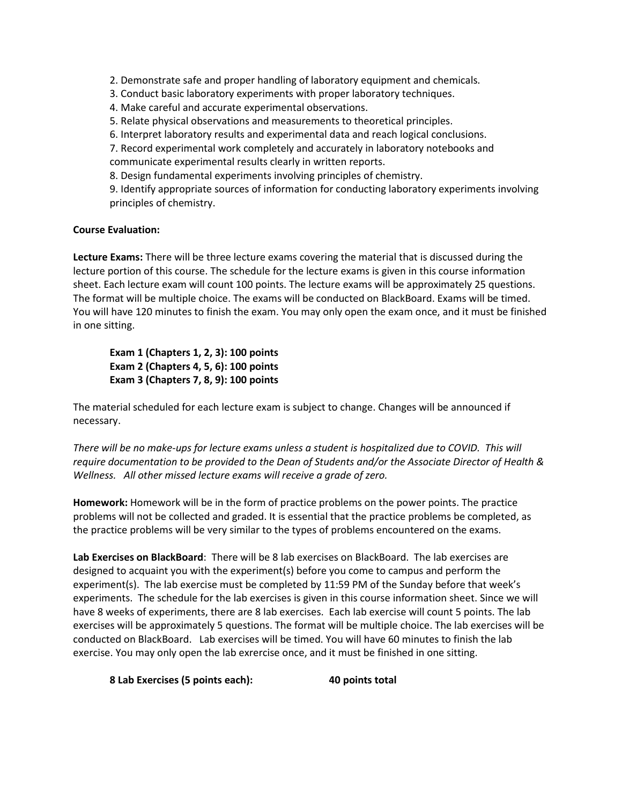2. Demonstrate safe and proper handling of laboratory equipment and chemicals.

- 3. Conduct basic laboratory experiments with proper laboratory techniques.
- 4. Make careful and accurate experimental observations.
- 5. Relate physical observations and measurements to theoretical principles.
- 6. Interpret laboratory results and experimental data and reach logical conclusions.

7. Record experimental work completely and accurately in laboratory notebooks and communicate experimental results clearly in written reports.

8. Design fundamental experiments involving principles of chemistry.

9. Identify appropriate sources of information for conducting laboratory experiments involving principles of chemistry.

## **Course Evaluation:**

**Lecture Exams:** There will be three lecture exams covering the material that is discussed during the lecture portion of this course. The schedule for the lecture exams is given in this course information sheet. Each lecture exam will count 100 points. The lecture exams will be approximately 25 questions. The format will be multiple choice. The exams will be conducted on BlackBoard. Exams will be timed. You will have 120 minutes to finish the exam. You may only open the exam once, and it must be finished in one sitting.

**Exam 1 (Chapters 1, 2, 3): 100 points Exam 2 (Chapters 4, 5, 6): 100 points Exam 3 (Chapters 7, 8, 9): 100 points** 

The material scheduled for each lecture exam is subject to change. Changes will be announced if necessary.

*There will be no make-ups for lecture exams unless a student is hospitalized due to COVID. This will require documentation to be provided to the Dean of Students and/or the Associate Director of Health & Wellness. All other missed lecture exams will receive a grade of zero.*

**Homework:** Homework will be in the form of practice problems on the power points. The practice problems will not be collected and graded. It is essential that the practice problems be completed, as the practice problems will be very similar to the types of problems encountered on the exams.

**Lab Exercises on BlackBoard**: There will be 8 lab exercises on BlackBoard. The lab exercises are designed to acquaint you with the experiment(s) before you come to campus and perform the experiment(s). The lab exercise must be completed by 11:59 PM of the Sunday before that week's experiments. The schedule for the lab exercises is given in this course information sheet. Since we will have 8 weeks of experiments, there are 8 lab exercises. Each lab exercise will count 5 points. The lab exercises will be approximately 5 questions. The format will be multiple choice. The lab exercises will be conducted on BlackBoard. Lab exercises will be timed. You will have 60 minutes to finish the lab exercise. You may only open the lab exrercise once, and it must be finished in one sitting.

**8 Lab Exercises (5 points each): 40 points total**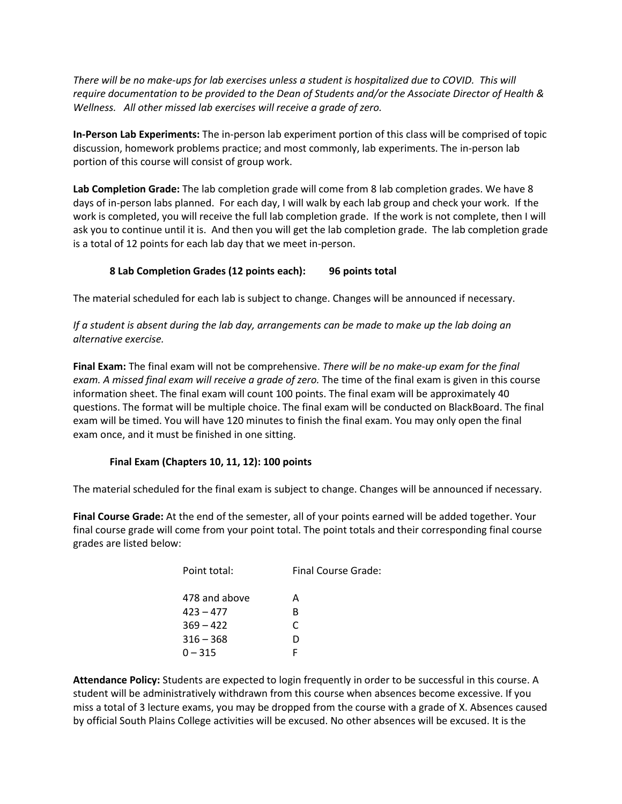*There will be no make-ups for lab exercises unless a student is hospitalized due to COVID. This will require documentation to be provided to the Dean of Students and/or the Associate Director of Health & Wellness. All other missed lab exercises will receive a grade of zero.*

**In-Person Lab Experiments:** The in-person lab experiment portion of this class will be comprised of topic discussion, homework problems practice; and most commonly, lab experiments. The in-person lab portion of this course will consist of group work.

**Lab Completion Grade:** The lab completion grade will come from 8 lab completion grades. We have 8 days of in-person labs planned. For each day, I will walk by each lab group and check your work. If the work is completed, you will receive the full lab completion grade. If the work is not complete, then I will ask you to continue until it is. And then you will get the lab completion grade. The lab completion grade is a total of 12 points for each lab day that we meet in-person.

# **8 Lab Completion Grades (12 points each): 96 points total**

The material scheduled for each lab is subject to change. Changes will be announced if necessary.

*If a student is absent during the lab day, arrangements can be made to make up the lab doing an alternative exercise.*

**Final Exam:** The final exam will not be comprehensive. *There will be no make-up exam for the final exam. A missed final exam will receive a grade of zero.* The time of the final exam is given in this course information sheet. The final exam will count 100 points. The final exam will be approximately 40 questions. The format will be multiple choice. The final exam will be conducted on BlackBoard. The final exam will be timed. You will have 120 minutes to finish the final exam. You may only open the final exam once, and it must be finished in one sitting.

# **Final Exam (Chapters 10, 11, 12): 100 points**

The material scheduled for the final exam is subject to change. Changes will be announced if necessary.

**Final Course Grade:** At the end of the semester, all of your points earned will be added together. Your final course grade will come from your point total. The point totals and their corresponding final course grades are listed below:

| Point total:  | Final Course Grade: |
|---------------|---------------------|
| 478 and above | А                   |
| $423 - 477$   | в                   |
| $369 - 422$   | C                   |
| $316 - 368$   | D                   |
| $0 - 315$     | F                   |
|               |                     |

**Attendance Policy:** Students are expected to login frequently in order to be successful in this course. A student will be administratively withdrawn from this course when absences become excessive. If you miss a total of 3 lecture exams, you may be dropped from the course with a grade of X. Absences caused by official South Plains College activities will be excused. No other absences will be excused. It is the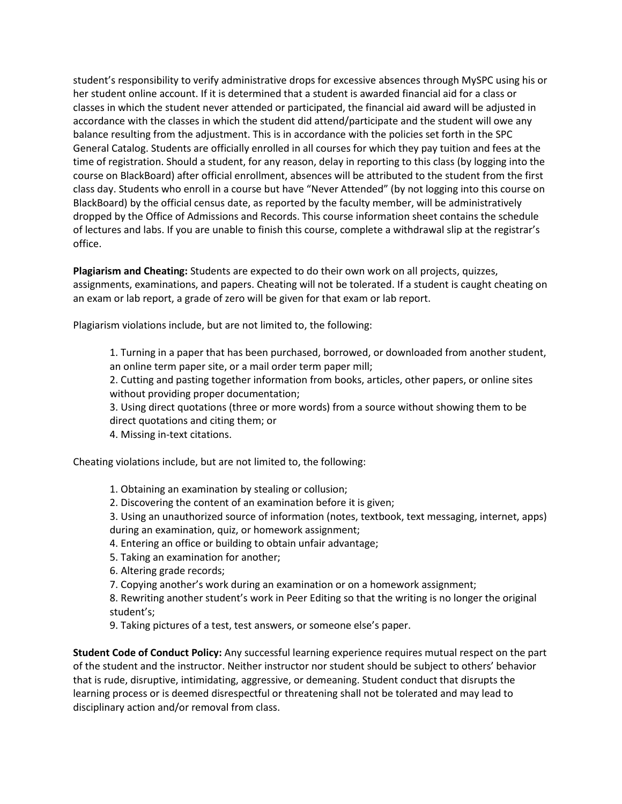student's responsibility to verify administrative drops for excessive absences through MySPC using his or her student online account. If it is determined that a student is awarded financial aid for a class or classes in which the student never attended or participated, the financial aid award will be adjusted in accordance with the classes in which the student did attend/participate and the student will owe any balance resulting from the adjustment. This is in accordance with the policies set forth in the SPC General Catalog. Students are officially enrolled in all courses for which they pay tuition and fees at the time of registration. Should a student, for any reason, delay in reporting to this class (by logging into the course on BlackBoard) after official enrollment, absences will be attributed to the student from the first class day. Students who enroll in a course but have "Never Attended" (by not logging into this course on BlackBoard) by the official census date, as reported by the faculty member, will be administratively dropped by the Office of Admissions and Records. This course information sheet contains the schedule of lectures and labs. If you are unable to finish this course, complete a withdrawal slip at the registrar's office.

**Plagiarism and Cheating:** Students are expected to do their own work on all projects, quizzes, assignments, examinations, and papers. Cheating will not be tolerated. If a student is caught cheating on an exam or lab report, a grade of zero will be given for that exam or lab report.

Plagiarism violations include, but are not limited to, the following:

1. Turning in a paper that has been purchased, borrowed, or downloaded from another student, an online term paper site, or a mail order term paper mill;

2. Cutting and pasting together information from books, articles, other papers, or online sites without providing proper documentation;

3. Using direct quotations (three or more words) from a source without showing them to be direct quotations and citing them; or

4. Missing in-text citations.

Cheating violations include, but are not limited to, the following:

- 1. Obtaining an examination by stealing or collusion;
- 2. Discovering the content of an examination before it is given;

3. Using an unauthorized source of information (notes, textbook, text messaging, internet, apps) during an examination, quiz, or homework assignment;

4. Entering an office or building to obtain unfair advantage;

- 5. Taking an examination for another;
- 6. Altering grade records;

7. Copying another's work during an examination or on a homework assignment;

8. Rewriting another student's work in Peer Editing so that the writing is no longer the original student's;

9. Taking pictures of a test, test answers, or someone else's paper.

**Student Code of Conduct Policy:** Any successful learning experience requires mutual respect on the part of the student and the instructor. Neither instructor nor student should be subject to others' behavior that is rude, disruptive, intimidating, aggressive, or demeaning. Student conduct that disrupts the learning process or is deemed disrespectful or threatening shall not be tolerated and may lead to disciplinary action and/or removal from class.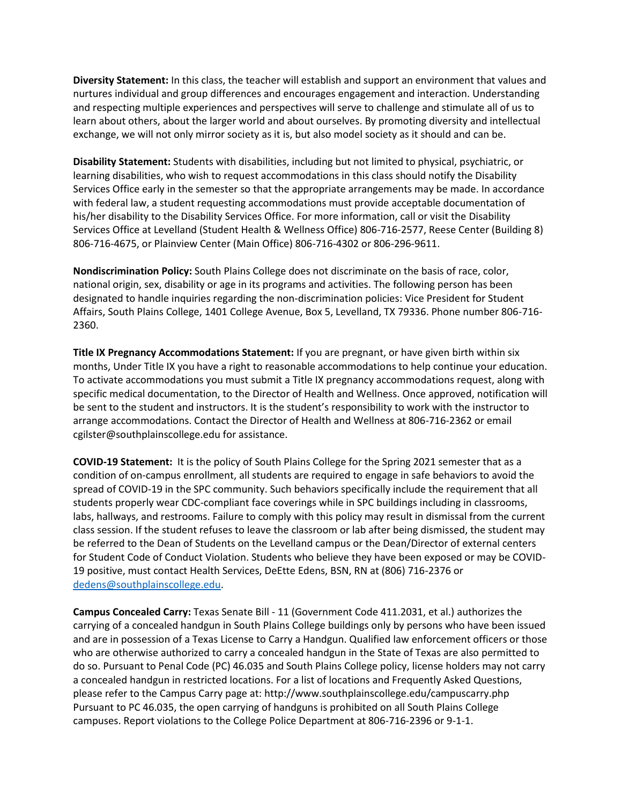**Diversity Statement:** In this class, the teacher will establish and support an environment that values and nurtures individual and group differences and encourages engagement and interaction. Understanding and respecting multiple experiences and perspectives will serve to challenge and stimulate all of us to learn about others, about the larger world and about ourselves. By promoting diversity and intellectual exchange, we will not only mirror society as it is, but also model society as it should and can be.

**Disability Statement:** Students with disabilities, including but not limited to physical, psychiatric, or learning disabilities, who wish to request accommodations in this class should notify the Disability Services Office early in the semester so that the appropriate arrangements may be made. In accordance with federal law, a student requesting accommodations must provide acceptable documentation of his/her disability to the Disability Services Office. For more information, call or visit the Disability Services Office at Levelland (Student Health & Wellness Office) 806-716-2577, Reese Center (Building 8) 806-716-4675, or Plainview Center (Main Office) 806-716-4302 or 806-296-9611.

**Nondiscrimination Policy:** South Plains College does not discriminate on the basis of race, color, national origin, sex, disability or age in its programs and activities. The following person has been designated to handle inquiries regarding the non-discrimination policies: Vice President for Student Affairs, South Plains College, 1401 College Avenue, Box 5, Levelland, TX 79336. Phone number 806-716- 2360.

**Title IX Pregnancy Accommodations Statement:** If you are pregnant, or have given birth within six months, Under Title IX you have a right to reasonable accommodations to help continue your education. To activate accommodations you must submit a Title IX pregnancy accommodations request, along with specific medical documentation, to the Director of Health and Wellness. Once approved, notification will be sent to the student and instructors. It is the student's responsibility to work with the instructor to arrange accommodations. Contact the Director of Health and Wellness at 806-716-2362 or email cgilster@southplainscollege.edu for assistance.

**COVID-19 Statement:** It is the policy of South Plains College for the Spring 2021 semester that as a condition of on-campus enrollment, all students are required to engage in safe behaviors to avoid the spread of COVID-19 in the SPC community. Such behaviors specifically include the requirement that all students properly wear CDC-compliant face coverings while in SPC buildings including in classrooms, labs, hallways, and restrooms. Failure to comply with this policy may result in dismissal from the current class session. If the student refuses to leave the classroom or lab after being dismissed, the student may be referred to the Dean of Students on the Levelland campus or the Dean/Director of external centers for Student Code of Conduct Violation. Students who believe they have been exposed or may be COVID-19 positive, must contact Health Services, DeEtte Edens, BSN, RN at (806) 716-2376 or [dedens@southplainscollege.edu.](mailto:dedens@southplainscollege.edu)

**Campus Concealed Carry:** Texas Senate Bill - 11 (Government Code 411.2031, et al.) authorizes the carrying of a concealed handgun in South Plains College buildings only by persons who have been issued and are in possession of a Texas License to Carry a Handgun. Qualified law enforcement officers or those who are otherwise authorized to carry a concealed handgun in the State of Texas are also permitted to do so. Pursuant to Penal Code (PC) 46.035 and South Plains College policy, license holders may not carry a concealed handgun in restricted locations. For a list of locations and Frequently Asked Questions, please refer to the Campus Carry page at: http://www.southplainscollege.edu/campuscarry.php Pursuant to PC 46.035, the open carrying of handguns is prohibited on all South Plains College campuses. Report violations to the College Police Department at 806-716-2396 or 9-1-1.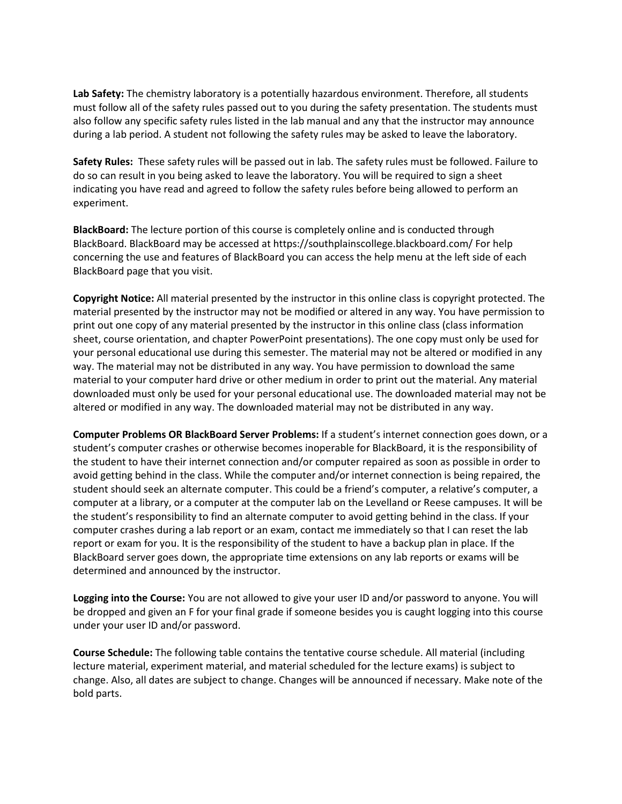**Lab Safety:** The chemistry laboratory is a potentially hazardous environment. Therefore, all students must follow all of the safety rules passed out to you during the safety presentation. The students must also follow any specific safety rules listed in the lab manual and any that the instructor may announce during a lab period. A student not following the safety rules may be asked to leave the laboratory.

**Safety Rules:** These safety rules will be passed out in lab. The safety rules must be followed. Failure to do so can result in you being asked to leave the laboratory. You will be required to sign a sheet indicating you have read and agreed to follow the safety rules before being allowed to perform an experiment.

**BlackBoard:** The lecture portion of this course is completely online and is conducted through BlackBoard. BlackBoard may be accessed at https://southplainscollege.blackboard.com/ For help concerning the use and features of BlackBoard you can access the help menu at the left side of each BlackBoard page that you visit.

**Copyright Notice:** All material presented by the instructor in this online class is copyright protected. The material presented by the instructor may not be modified or altered in any way. You have permission to print out one copy of any material presented by the instructor in this online class (class information sheet, course orientation, and chapter PowerPoint presentations). The one copy must only be used for your personal educational use during this semester. The material may not be altered or modified in any way. The material may not be distributed in any way. You have permission to download the same material to your computer hard drive or other medium in order to print out the material. Any material downloaded must only be used for your personal educational use. The downloaded material may not be altered or modified in any way. The downloaded material may not be distributed in any way.

**Computer Problems OR BlackBoard Server Problems:** If a student's internet connection goes down, or a student's computer crashes or otherwise becomes inoperable for BlackBoard, it is the responsibility of the student to have their internet connection and/or computer repaired as soon as possible in order to avoid getting behind in the class. While the computer and/or internet connection is being repaired, the student should seek an alternate computer. This could be a friend's computer, a relative's computer, a computer at a library, or a computer at the computer lab on the Levelland or Reese campuses. It will be the student's responsibility to find an alternate computer to avoid getting behind in the class. If your computer crashes during a lab report or an exam, contact me immediately so that I can reset the lab report or exam for you. It is the responsibility of the student to have a backup plan in place. If the BlackBoard server goes down, the appropriate time extensions on any lab reports or exams will be determined and announced by the instructor.

**Logging into the Course:** You are not allowed to give your user ID and/or password to anyone. You will be dropped and given an F for your final grade if someone besides you is caught logging into this course under your user ID and/or password.

**Course Schedule:** The following table contains the tentative course schedule. All material (including lecture material, experiment material, and material scheduled for the lecture exams) is subject to change. Also, all dates are subject to change. Changes will be announced if necessary. Make note of the bold parts.